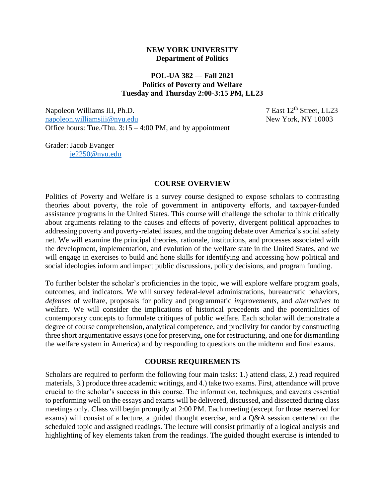#### **NEW YORK UNIVERSITY Department of Politics**

#### **POL-UA 382 ― Fall 2021 Politics of Poverty and Welfare Tuesday and Thursday 2:00-3:15 PM, LL23**

Napoleon Williams III, Ph.D. 7 East 12<sup>th</sup> Street, LL23 [napoleon.williamsiii@nyu.edu](mailto:napoleon.williamsiii@nyu.edu) New York, NY 10003 Office hours: Tue./Thu. 3:15 – 4:00 PM, and by appointment

Grader: Jacob Evanger [je2250@nyu.edu](mailto:je2250@nyu.edu)

#### **COURSE OVERVIEW**

Politics of Poverty and Welfare is a survey course designed to expose scholars to contrasting theories about poverty, the role of government in antipoverty efforts, and taxpayer-funded assistance programs in the United States. This course will challenge the scholar to think critically about arguments relating to the causes and effects of poverty, divergent political approaches to addressing poverty and poverty-related issues, and the ongoing debate over America's social safety net. We will examine the principal theories, rationale, institutions, and processes associated with the development, implementation, and evolution of the welfare state in the United States, and we will engage in exercises to build and hone skills for identifying and accessing how political and social ideologies inform and impact public discussions, policy decisions, and program funding.

To further bolster the scholar's proficiencies in the topic, we will explore welfare program goals, outcomes, and indicators. We will survey federal-level administrations, bureaucratic behaviors, *defenses* of welfare, proposals for policy and programmatic *improvements*, and *alternatives* to welfare. We will consider the implications of historical precedents and the potentialities of contemporary concepts to formulate critiques of public welfare. Each scholar will demonstrate a degree of course comprehension, analytical competence, and proclivity for candor by constructing three short argumentative essays (one for preserving, one for restructuring, and one for dismantling the welfare system in America) and by responding to questions on the midterm and final exams.

#### **COURSE REQUIREMENTS**

Scholars are required to perform the following four main tasks: 1.) attend class, 2.) read required materials, 3.) produce three academic writings, and 4.) take two exams. First, attendance will prove crucial to the scholar's success in this course. The information, techniques, and caveats essential to performing well on the essays and exams will be delivered, discussed, and dissected during class meetings only. Class will begin promptly at 2:00 PM. Each meeting (except for those reserved for exams) will consist of a lecture, a guided thought exercise, and a Q&A session centered on the scheduled topic and assigned readings. The lecture will consist primarily of a logical analysis and highlighting of key elements taken from the readings. The guided thought exercise is intended to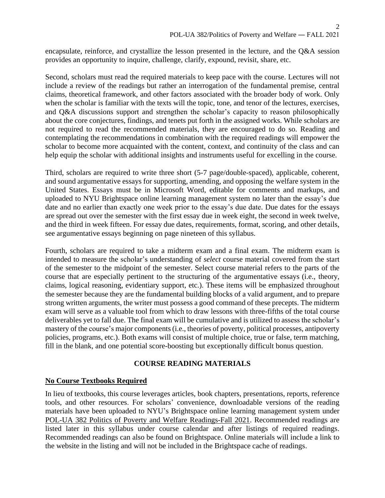encapsulate, reinforce, and crystallize the lesson presented in the lecture, and the Q&A session provides an opportunity to inquire, challenge, clarify, expound, revisit, share, etc.

Second, scholars must read the required materials to keep pace with the course. Lectures will not include a review of the readings but rather an interrogation of the fundamental premise, central claims, theoretical framework, and other factors associated with the broader body of work. Only when the scholar is familiar with the texts will the topic, tone, and tenor of the lectures, exercises, and Q&A discussions support and strengthen the scholar's capacity to reason philosophically about the core conjectures, findings, and tenets put forth in the assigned works. While scholars are not required to read the recommended materials, they are encouraged to do so. Reading and contemplating the recommendations in combination with the required readings will empower the scholar to become more acquainted with the content, context, and continuity of the class and can help equip the scholar with additional insights and instruments useful for excelling in the course.

Third, scholars are required to write three short (5-7 page/double-spaced), applicable, coherent, and sound argumentative essays for supporting, amending, and opposing the welfare system in the United States. Essays must be in Microsoft Word, editable for comments and markups, and uploaded to NYU Brightspace online learning management system no later than the essay's due date and no earlier than exactly one week prior to the essay's due date. Due dates for the essays are spread out over the semester with the first essay due in week eight, the second in week twelve, and the third in week fifteen. For essay due dates, requirements, format, scoring, and other details, see argumentative essays beginning on page nineteen of this syllabus.

Fourth, scholars are required to take a midterm exam and a final exam. The midterm exam is intended to measure the scholar's understanding of *select* course material covered from the start of the semester to the midpoint of the semester. Select course material refers to the parts of the course that are especially pertinent to the structuring of the argumentative essays (i.e., theory, claims, logical reasoning, evidentiary support, etc.). These items will be emphasized throughout the semester because they are the fundamental building blocks of a valid argument, and to prepare strong written arguments, the writer must possess a good command of these precepts. The midterm exam will serve as a valuable tool from which to draw lessons with three-fifths of the total course deliverables yet to fall due. The final exam will be cumulative and is utilized to assess the scholar's mastery of the course's major components(i.e., theories of poverty, political processes, antipoverty policies, programs, etc.). Both exams will consist of multiple choice, true or false, term matching, fill in the blank, and one potential score-boosting but exceptionally difficult bonus question.

### **COURSE READING MATERIALS**

### **No Course Textbooks Required**

In lieu of textbooks, this course leverages articles, book chapters, presentations, reports, reference tools, and other resources. For scholars' convenience, downloadable versions of the reading materials have been uploaded to NYU's Brightspace online learning management system under POL-UA 382 Politics of Poverty and Welfare Readings-Fall 2021. Recommended readings are listed later in this syllabus under course calendar and after listings of required readings. Recommended readings can also be found on Brightspace. Online materials will include a link to the website in the listing and will not be included in the Brightspace cache of readings.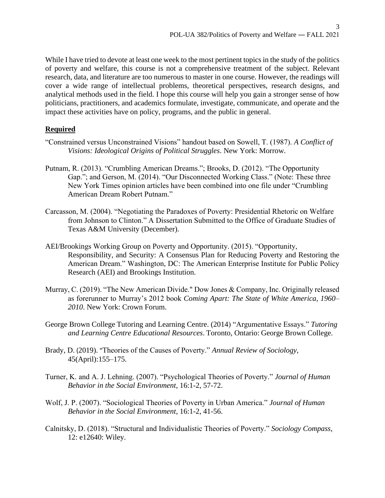While I have tried to devote at least one week to the most pertinent topics in the study of the politics of poverty and welfare, this course is not a comprehensive treatment of the subject. Relevant research, data, and literature are too numerous to master in one course. However, the readings will cover a wide range of intellectual problems, theoretical perspectives, research designs, and analytical methods used in the field. I hope this course will help you gain a stronger sense of how politicians, practitioners, and academics formulate, investigate, communicate, and operate and the impact these activities have on policy, programs, and the public in general.

### **Required**

- "Constrained versus Unconstrained Visions" handout based on Sowell, T. (1987). *A Conflict of Visions: Ideological Origins of Political Struggles*. New York: Morrow.
- Putnam, R. (2013). "Crumbling American Dreams."; Brooks, D. (2012). "The Opportunity Gap."; and Gerson, M. (2014). "Our Disconnected Working Class." (Note: These three New York Times opinion articles have been combined into one file under "Crumbling American Dream Robert Putnam."
- Carcasson, M. (2004). "Negotiating the Paradoxes of Poverty: Presidential Rhetoric on Welfare from Johnson to Clinton." A Dissertation Submitted to the Office of Graduate Studies of Texas A&M University (December).
- AEI/Brookings Working Group on Poverty and Opportunity. (2015). "Opportunity, Responsibility, and Security: A Consensus Plan for Reducing Poverty and Restoring the American Dream." Washington, DC: The American Enterprise Institute for Public Policy Research (AEI) and Brookings Institution.
- Murray, C. (2019). "The New American Divide." Dow Jones & Company, Inc. Originally released as forerunner to Murray's 2012 book *Coming Apart: The State of White America, 1960– 2010*. New York: Crown Forum.
- George Brown College Tutoring and Learning Centre. (2014) "Argumentative Essays." *Tutoring and Learning Centre Educational Resources*. Toronto, Ontario: George Brown College.
- Brady, D. (2019). "Theories of the Causes of Poverty." *Annual Review of Sociology,*  45(April):155–175.
- Turner, K. and A. J. Lehning. (2007). "Psychological Theories of Poverty." *Journal of Human Behavior in the Social Environment*, 16:1-2, 57-72.
- Wolf, J. P. (2007). "Sociological Theories of Poverty in Urban America." *Journal of Human Behavior in the Social Environment*, 16:1-2, 41-56.
- Calnitsky, D. (2018). "Structural and Individualistic Theories of Poverty." *Sociology Compass*, 12: e12640: Wiley.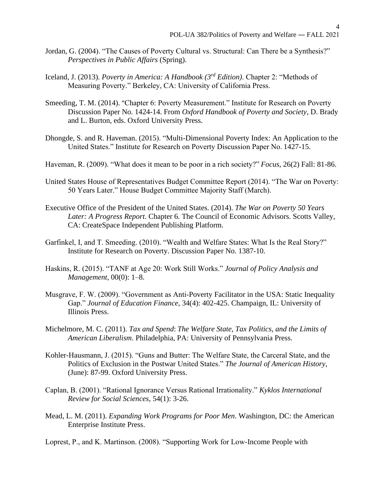- Jordan, G. (2004). "The Causes of Poverty Cultural vs. Structural: Can There be a Synthesis?" *Perspectives in Public Affairs* (Spring).
- Iceland, J. (2013). *Poverty in America: A Handbook (3rd Edition)*. Chapter 2: "Methods of Measuring Poverty." Berkeley, CA: University of California Press.
- Smeeding, T. M. (2014). "Chapter 6: Poverty Measurement." Institute for Research on Poverty Discussion Paper No. 1424-14. From *Oxford Handbook of Poverty and Society*, D. Brady and L. Burton, eds. Oxford University Press.
- Dhongde, S. and R. Haveman. (2015). "Multi-Dimensional Poverty Index: An Application to the United States." Institute for Research on Poverty Discussion Paper No. 1427-15.
- Haveman, R. (2009). "What does it mean to be poor in a rich society?" *Focus*, 26(2) Fall: 81-86.
- United States House of Representatives Budget Committee Report (2014). "The War on Poverty: 50 Years Later." House Budget Committee Majority Staff (March).
- Executive Office of the President of the United States. (2014). *The War on Poverty 50 Years Later: A Progress Report*. Chapter 6. The Council of Economic Advisors. Scotts Valley, CA: CreateSpace Independent Publishing Platform.
- Garfinkel, I, and T. Smeeding. (2010). "Wealth and Welfare States: What Is the Real Story?" Institute for Research on Poverty. Discussion Paper No. 1387-10.
- Haskins, R. (2015). "TANF at Age 20: Work Still Works." *Journal of Policy Analysis and Management*, 00(0): 1–8.
- Musgrave, F. W. (2009). "Government as Anti-Poverty Facilitator in the USA: Static Inequality Gap." *Journal of Education Finance*, 34(4): 402-425. Champaign, IL: University of Illinois Press.
- Michelmore, M. C. (2011). *Tax and Spend*: *The Welfare State, Tax Politics, and the Limits of American Liberalism*. Philadelphia, PA: University of Pennsylvania Press.
- Kohler-Hausmann, J. (2015). "Guns and Butter: The Welfare State, the Carceral State, and the Politics of Exclusion in the Postwar United States." *The Journal of American History*, (June): 87-99. Oxford University Press.
- Caplan, B. (2001). "Rational Ignorance Versus Rational Irrationality." *Kyklos International Review for Social Sciences*, 54(1): 3-26.
- Mead, L. M. (2011). *Expanding Work Programs for Poor Men*. Washington, DC: the American Enterprise Institute Press.
- Loprest, P., and K. Martinson. (2008). "Supporting Work for Low-Income People with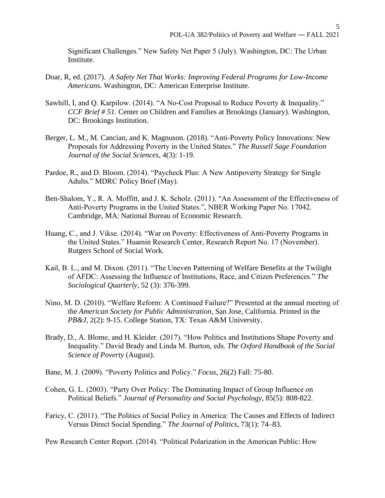5

Significant Challenges." New Safety Net Paper 5 (July). Washington, DC: The Urban Institute.

- Doar, R, ed. (2017). *A Safety Net That Works: Improving Federal Programs for Low-Income Americans.* Washington, DC: American Enterprise Institute.
- Sawhill, I, and Q. Karpilow. (2014). "A No-Cost Proposal to Reduce Poverty & Inequality." *CCF Brief # 51*. Center on Children and Families at Brookings (January). Washington, DC: Brookings Institution.
- Berger, L. M., M. Cancian, and K. Magnuson. (2018). "Anti-Poverty Policy Innovations: New Proposals for Addressing Poverty in the United States." *The Russell Sage Foundation Journal of the Social Sciences*, 4(3): 1-19.
- Pardoe, R., and D. Bloom. (2014). "Paycheck Plus: A New Antipoverty Strategy for Single Adults." MDRC Policy Brief (May).
- Ben-Shalom, Y., R. A. Moffitt, and J. K. Scholz. (2011). "An Assessment of the Effectiveness of Anti-Poverty Programs in the United States.", NBER Working Paper No. 17042. Cambridge, MA: National Bureau of Economic Research.
- Huang, C., and J. Vikse. (2014). "War on Poverty: Effectiveness of Anti-Poverty Programs in the United States." Huamin Research Center, Research Report No. 17 (November). Rutgers School of Social Work.
- Kail, B. L., and M. Dixon. (2011). "The Uneven Patterning of Welfare Benefits at the Twilight of AFDC: Assessing the Influence of Institutions, Race, and Citizen Preferences." *The Sociological Quarterly*, 52 (3): 376-399.
- Nino, M. D. (2010). "Welfare Reform: A Continued Failure?" Presented at the annual meeting of the *American Society for Public Administration*, San Jose, California. Printed in the *PB&J*, 2(2): 9-15. College Station, TX: Texas A&M University.
- Brady, D., A. Blome, and H. Kleider. (2017). "How Politics and Institutions Shape Poverty and Inequality." David Brady and Linda M. Burton, eds. *The Oxford Handbook of the Social Science of Poverty* (August).
- Bane, M. J. (2009). "Poverty Politics and Policy." *Focus*, 26(2) Fall: 75-80.
- Cohen, G. L. (2003). "Party Over Policy: The Dominating Impact of Group Influence on Political Beliefs." *Journal of Personality and Social Psychology*, 85(5): 808-822.
- Faricy, C. (2011). "The Politics of Social Policy in America: The Causes and Effects of Indirect Versus Direct Social Spending." *The Journal of Politics*, 73(1): 74–83.

Pew Research Center Report. (2014). "Political Polarization in the American Public: How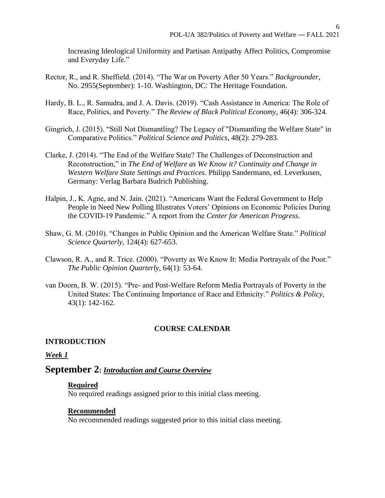6

Increasing Ideological Uniformity and Partisan Antipathy Affect Politics, Compromise and Everyday Life."

- Rector, R., and R. Sheffield. (2014). "The War on Poverty After 50 Years." *Backgrounder*, No. 2955(September): 1-10. Washington, DC: The Heritage Foundation.
- Hardy, B. L., R. Samudra, and J. A. Davis. (2019). "Cash Assistance in America: The Role of Race, Politics, and Poverty." *The Review of Black Political Economy*, 46(4): 306-324.
- Gingrich, J. (2015). "Still Not Dismantling? The Legacy of "Dismantling the Welfare State" in Comparative Politics." *Political Science and Politics*, 48(2): 279-283.
- Clarke, J. (2014). "The End of the Welfare State? The Challenges of Deconstruction and Reconstruction," in *The End of Welfare as We Know it? Continuity and Change in Western Welfare State Settings and Practices*. Philipp Sandermann, ed. Leverkusen, Germany: Verlag Barbara Budrich Publishing.
- Halpin, J., K. Agne, and N. Jain. (2021). "Americans Want the Federal Government to Help People in Need New Polling Illustrates Voters' Opinions on Economic Policies During the COVID-19 Pandemic." A report from the *Center for American Progress*.
- Shaw, G. M. (2010). "Changes in Public Opinion and the American Welfare State." *Political Science Quarterly*, 124(4): 627-653.
- Clawson, R. A., and R. Trice. (2000). "Poverty as We Know It: Media Portrayals of the Poor." *The Public Opinion Quarterly*, 64(1): 53-64.
- van Doorn, B. W. (2015). "Pre- and Post-Welfare Reform Media Portrayals of Poverty in the United States: The Continuing Importance of Race and Ethnicity." *Politics & Policy*, 43(1): 142-162.

#### **COURSE CALENDAR**

#### **INTRODUCTION**

#### *Week 1*

### **September 2:** *Introduction and Course Overview*

#### **Required**

No required readings assigned prior to this initial class meeting.

#### **Recommended**

No recommended readings suggested prior to this initial class meeting.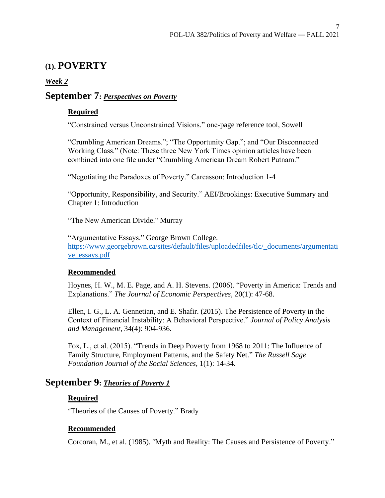## **(1). POVERTY**

### *Week 2*

## **September 7:** *Perspectives on Poverty*

### **Required**

"Constrained versus Unconstrained Visions." one-page reference tool, Sowell

"Crumbling American Dreams."; "The Opportunity Gap."; and "Our Disconnected Working Class." (Note: These three New York Times opinion articles have been combined into one file under "Crumbling American Dream Robert Putnam."

"Negotiating the Paradoxes of Poverty." Carcasson: Introduction 1-4

"Opportunity, Responsibility, and Security." AEI/Brookings: Executive Summary and Chapter 1: Introduction

"The New American Divide." Murray

"Argumentative Essays." George Brown College. [https://www.georgebrown.ca/sites/default/files/uploadedfiles/tlc/\\_documents/argumentati](https://www.georgebrown.ca/sites/default/files/uploadedfiles/tlc/_documents/argumentative_essays.pdf) [ve\\_essays.pdf](https://www.georgebrown.ca/sites/default/files/uploadedfiles/tlc/_documents/argumentative_essays.pdf)

### **Recommended**

Hoynes, H. W., M. E. Page, and A. H. Stevens. (2006). "Poverty in America: Trends and Explanations." *The Journal of Economic Perspectives*, 20(1): 47-68.

Ellen, I. G., L. A. Gennetian, and E. Shafir. (2015). The Persistence of Poverty in the Context of Financial Instability: A Behavioral Perspective." *Journal of Policy Analysis and Management*, 34(4): 904-936.

Fox, L., et al. (2015). "Trends in Deep Poverty from 1968 to 2011: The Influence of Family Structure, Employment Patterns, and the Safety Net." *The Russell Sage Foundation Journal of the Social Sciences*, 1(1): 14-34.

## **September 9:** *Theories of Poverty 1*

### **Required**

"Theories of the Causes of Poverty." Brady

### **Recommended**

Corcoran, M., et al. (1985). "Myth and Reality: The Causes and Persistence of Poverty."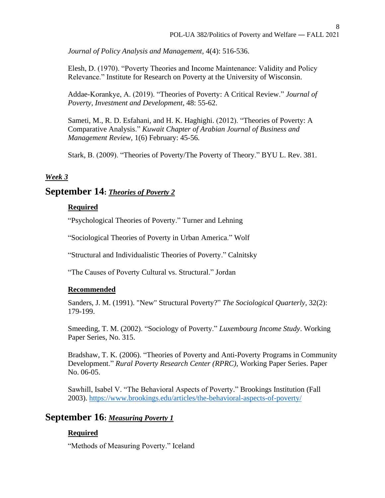8

*Journal of Policy Analysis and Management*, 4(4): 516-536.

Elesh, D. (1970). "Poverty Theories and Income Maintenance: Validity and Policy Relevance." Institute for Research on Poverty at the University of Wisconsin.

Addae-Korankye, A. (2019). "Theories of Poverty: A Critical Review." *Journal of Poverty, Investment and Development*, 48: 55-62.

Sameti, M., R. D. Esfahani, and H. K. Haghighi. (2012). "Theories of Poverty: A Comparative Analysis." *Kuwait Chapter of Arabian Journal of Business and Management Review*, 1(6) February: 45-56.

Stark, B. (2009). "Theories of Poverty/The Poverty of Theory." BYU L. Rev. 381.

#### *Week 3*

### **September 14:** *Theories of Poverty 2*

#### **Required**

"Psychological Theories of Poverty." Turner and Lehning

"Sociological Theories of Poverty in Urban America." Wolf

"Structural and Individualistic Theories of Poverty." Calnitsky

"The Causes of Poverty Cultural vs. Structural." Jordan

#### **Recommended**

Sanders, J. M. (1991). "New" Structural Poverty?" *The Sociological Quarterly*, 32(2): 179-199.

Smeeding, T. M. (2002). "Sociology of Poverty." *Luxembourg Income Study*. Working Paper Series, No. 315.

Bradshaw, T. K. (2006). "Theories of Poverty and Anti-Poverty Programs in Community Development." *Rural Poverty Research Center (RPRC),* Working Paper Series. Paper No. 06-05.

Sawhill, Isabel V. "The Behavioral Aspects of Poverty." Brookings Institution (Fall 2003). <https://www.brookings.edu/articles/the-behavioral-aspects-of-poverty/>

### **September 16:** *Measuring Poverty 1*

#### **Required**

"Methods of Measuring Poverty." Iceland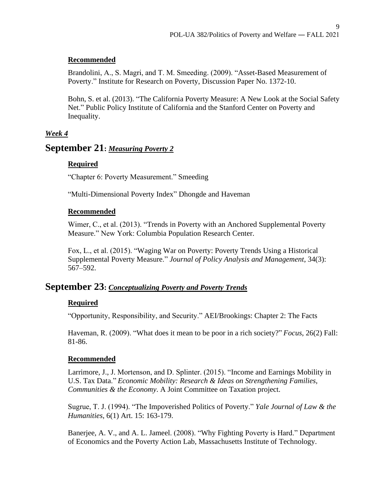#### **Recommended**

Brandolini, A., S. Magri, and T. M. Smeeding. (2009). "Asset-Based Measurement of Poverty." Institute for Research on Poverty, Discussion Paper No. 1372-10.

Bohn, S. et al. (2013). "The California Poverty Measure: A New Look at the Social Safety Net." Public Policy Institute of California and the Stanford Center on Poverty and Inequality.

### *Week 4*

## **September 21:** *Measuring Poverty 2*

#### **Required**

"Chapter 6: Poverty Measurement." Smeeding

"Multi-Dimensional Poverty Index" Dhongde and Haveman

#### **Recommended**

Wimer, C., et al. (2013). "Trends in Poverty with an Anchored Supplemental Poverty Measure." New York: Columbia Population Research Center.

Fox, L., et al. (2015). "Waging War on Poverty: Poverty Trends Using a Historical Supplemental Poverty Measure." *Journal of Policy Analysis and Management*, 34(3): 567–592.

### **September 23:** *Conceptualizing Poverty and Poverty Trends*

### **Required**

"Opportunity, Responsibility, and Security." AEI/Brookings: Chapter 2: The Facts

Haveman, R. (2009). "What does it mean to be poor in a rich society?" *Focus*, 26(2) Fall: 81-86.

#### **Recommended**

Larrimore, J., J. Mortenson, and D. Splinter. (2015). "Income and Earnings Mobility in U.S. Tax Data." *Economic Mobility: Research & Ideas on Strengthening Families, Communities & the Economy*. A Joint Committee on Taxation project.

Sugrue, T. J. (1994). "The Impoverished Politics of Poverty." *Yale Journal of Law & the Humanities*, 6(1) Art. 15: 163-179.

Banerjee, A. V., and A. L. Jameel. (2008). "Why Fighting Poverty is Hard." Department of Economics and the Poverty Action Lab, Massachusetts Institute of Technology.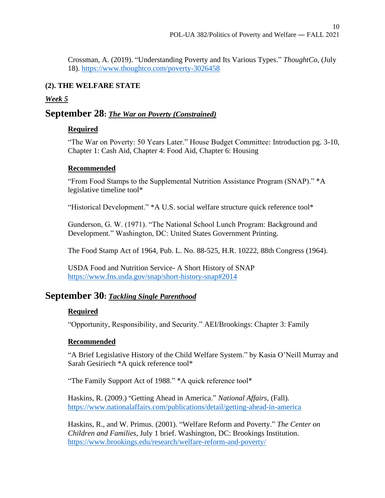Crossman, A. (2019). "Understanding Poverty and Its Various Types." *ThoughtCo*, (July 18).<https://www.thoughtco.com/poverty-3026458>

### **(2). THE WELFARE STATE**

### *Week 5*

### **September 28:** *The War on Poverty (Constrained)*

### **Required**

"The War on Poverty: 50 Years Later." House Budget Committee: Introduction pg. 3-10, Chapter 1: Cash Aid, Chapter 4: Food Aid, Chapter 6: Housing

### **Recommended**

"From Food Stamps to the Supplemental Nutrition Assistance Program (SNAP)." \*A legislative timeline tool\*

"Historical Development." \*A U.S. social welfare structure quick reference tool\*

Gunderson, G. W. (1971). "The National School Lunch Program: Background and Development." Washington, DC: United States Government Printing.

The Food Stamp Act of 1964, Pub. L. No. 88-525, H.R. 10222, 88th Congress (1964).

USDA Food and Nutrition Service- A Short History of SNAP <https://www.fns.usda.gov/snap/short-history-snap#2014>

## **September 30:** *Tackling Single Parenthood*

### **Required**

"Opportunity, Responsibility, and Security." AEI/Brookings: Chapter 3: Family

### **Recommended**

"A Brief Legislative History of the Child Welfare System." by Kasia O'Neill Murray and Sarah Gesiriech \*A quick reference tool\*

"The Family Support Act of 1988." \*A quick reference tool\*

Haskins, R. (2009.) "Getting Ahead in America." *National Affairs*, (Fall). <https://www.nationalaffairs.com/publications/detail/getting-ahead-in-america>

Haskins, R., and W. Primus. (2001). "Welfare Reform and Poverty." *The Center on Children and Families*, July 1 brief. Washington, DC: Brookings Institution. <https://www.brookings.edu/research/welfare-reform-and-poverty/>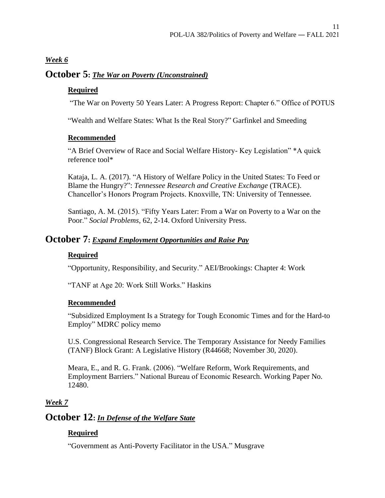### *Week 6*

### **October 5:** *The War on Poverty (Unconstrained)*

#### **Required**

"The War on Poverty 50 Years Later: A Progress Report: Chapter 6." Office of POTUS

"Wealth and Welfare States: What Is the Real Story?" Garfinkel and Smeeding

#### **Recommended**

"A Brief Overview of Race and Social Welfare History- Key Legislation" \*A quick reference tool\*

Kataja, L. A. (2017). "A History of Welfare Policy in the United States: To Feed or Blame the Hungry?": *Tennessee Research and Creative Exchange* (TRACE). Chancellor's Honors Program Projects. Knoxville, TN: University of Tennessee.

Santiago, A. M. (2015). "Fifty Years Later: From a War on Poverty to a War on the Poor." *Social Problems*, 62, 2-14. Oxford University Press.

### **October 7:** *Expand Employment Opportunities and Raise Pay*

### **Required**

"Opportunity, Responsibility, and Security." AEI/Brookings: Chapter 4: Work

"TANF at Age 20: Work Still Works." Haskins

#### **Recommended**

"Subsidized Employment Is a Strategy for Tough Economic Times and for the Hard-to Employ" MDRC policy memo

U.S. Congressional Research Service. The Temporary Assistance for Needy Families (TANF) Block Grant: A Legislative History (R44668; November 30, 2020).

Meara, E., and R. G. Frank. (2006). "Welfare Reform, Work Requirements, and Employment Barriers." National Bureau of Economic Research. Working Paper No. 12480.

### *Week 7*

## **October 12:** *In Defense of the Welfare State*

### **Required**

"Government as Anti-Poverty Facilitator in the USA." Musgrave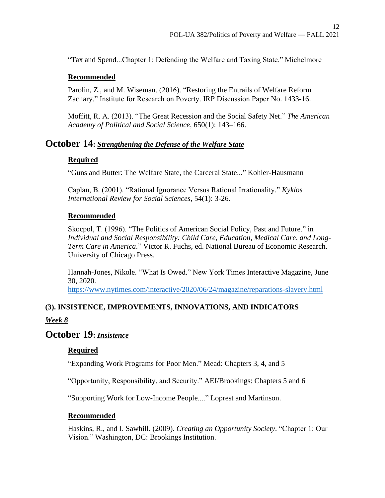"Tax and Spend...Chapter 1: Defending the Welfare and Taxing State." Michelmore

### **Recommended**

Parolin, Z., and M. Wiseman. (2016). "Restoring the Entrails of Welfare Reform Zachary." Institute for Research on Poverty. IRP Discussion Paper No. 1433-16.

Moffitt, R. A. (2013). "The Great Recession and the Social Safety Net." *The American Academy of Political and Social Science*, 650(1): 143–166.

### **October 14:** *Strengthening the Defense of the Welfare State*

### **Required**

"Guns and Butter: The Welfare State, the Carceral State..." Kohler-Hausmann

Caplan, B. (2001). "Rational Ignorance Versus Rational Irrationality." *Kyklos International Review for Social Sciences*, 54(1): 3-26.

### **Recommended**

Skocpol, T. (1996). "The Politics of American Social Policy, Past and Future." in *Individual and Social Responsibility: Child Care, Education, Medical Care, and Long-Term Care in America*." Victor R. Fuchs, ed. National Bureau of Economic Research. University of Chicago Press.

Hannah-Jones, Nikole. "What Is Owed." New York Times Interactive Magazine, June 30, 2020.

<https://www.nytimes.com/interactive/2020/06/24/magazine/reparations-slavery.html>

# **(3). INSISTENCE, IMPROVEMENTS, INNOVATIONS, AND INDICATORS**

### *Week 8*

## **October 19:** *Insistence*

### **Required**

"Expanding Work Programs for Poor Men." Mead: Chapters 3, 4, and 5

"Opportunity, Responsibility, and Security." AEI/Brookings: Chapters 5 and 6

"Supporting Work for Low-Income People...." Loprest and Martinson.

### **Recommended**

Haskins, R., and I. Sawhill. (2009). *Creating an Opportunity Society*. "Chapter 1: Our Vision." Washington, DC: Brookings Institution.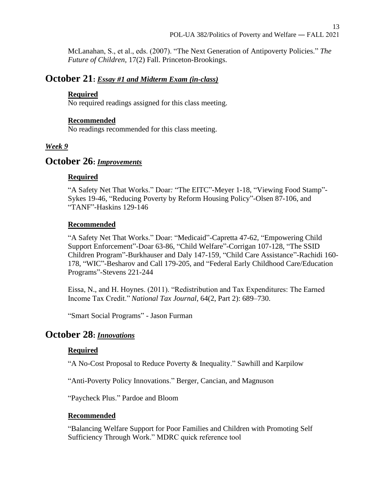McLanahan, S., et al., eds. (2007). "The Next Generation of Antipoverty Policies." *The Future of Children*, 17(2) Fall. Princeton-Brookings.

## **October 21:** *Essay #1 and Midterm Exam (in-class)*

### **Required**

No required readings assigned for this class meeting.

### **Recommended**

No readings recommended for this class meeting.

### *Week 9*

## **October 26:** *Improvements*

### **Required**

"A Safety Net That Works." Doar*:* "The EITC"-Meyer 1-18, "Viewing Food Stamp"- Sykes 19-46, "Reducing Poverty by Reform Housing Policy"-Olsen 87-106, and "TANF"-Haskins 129-146

### **Recommended**

"A Safety Net That Works." Doar: "Medicaid"-Capretta 47-62, "Empowering Child Support Enforcement"-Doar 63-86, "Child Welfare"-Corrigan 107-128, "The SSID Children Program"-Burkhauser and Daly 147-159, "Child Care Assistance"-Rachidi 160- 178, "WIC"-Besharov and Call 179-205, and "Federal Early Childhood Care/Education Programs"-Stevens 221-244

Eissa, N., and H. Hoynes. (2011). "Redistribution and Tax Expenditures: The Earned Income Tax Credit." *National Tax Journal*, 64(2, Part 2): 689–730.

"Smart Social Programs" - Jason Furman

## **October 28:** *Innovations*

## **Required**

"A No-Cost Proposal to Reduce Poverty & Inequality." Sawhill and Karpilow

"Anti-Poverty Policy Innovations." Berger, Cancian, and Magnuson

"Paycheck Plus." Pardoe and Bloom

### **Recommended**

"Balancing Welfare Support for Poor Families and Children with Promoting Self Sufficiency Through Work." MDRC quick reference tool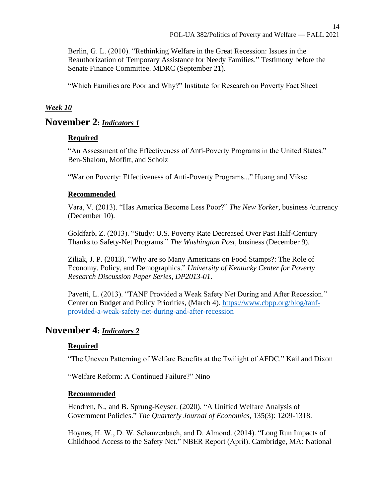14

Berlin, G. L. (2010). "Rethinking Welfare in the Great Recession: Issues in the Reauthorization of Temporary Assistance for Needy Families." Testimony before the Senate Finance Committee. MDRC (September 21).

"Which Families are Poor and Why?" Institute for Research on Poverty Fact Sheet

### *Week 10*

## **November 2:** *Indicators 1*

### **Required**

"An Assessment of the Effectiveness of Anti-Poverty Programs in the United States." Ben-Shalom, Moffitt, and Scholz

"War on Poverty: Effectiveness of Anti-Poverty Programs..." Huang and Vikse

### **Recommended**

Vara, V. (2013). "Has America Become Less Poor?" *The New Yorker*, business /currency (December 10).

Goldfarb, Z. (2013). "Study: U.S. Poverty Rate Decreased Over Past Half-Century Thanks to Safety-Net Programs." *The Washington Post*, business (December 9).

Ziliak, J. P. (2013). "Why are so Many Americans on Food Stamps?: The Role of Economy, Policy, and Demographics." *University of Kentucky Center for Poverty Research Discussion Paper Series, DP2013-01*.

Pavetti, L. (2013). "TANF Provided a Weak Safety Net During and After Recession." Center on Budget and Policy Priorities, (March 4). [https://www.cbpp.org/blog/tanf](https://www.cbpp.org/blog/tanf-provided-a-weak-safety-net-during-and-after-recession)[provided-a-weak-safety-net-during-and-after-recession](https://www.cbpp.org/blog/tanf-provided-a-weak-safety-net-during-and-after-recession)

## **November 4:** *Indicators 2*

### **Required**

"The Uneven Patterning of Welfare Benefits at the Twilight of AFDC." Kail and Dixon

"Welfare Reform: A Continued Failure?" Nino

### **Recommended**

Hendren, N., and B. Sprung-Keyser. (2020). "A Unified Welfare Analysis of Government Policies." *The Quarterly Journal of Economics*, 135(3): 1209-1318.

Hoynes, H. W., D. W. Schanzenbach, and D. Almond. (2014). "Long Run Impacts of Childhood Access to the Safety Net." NBER Report (April). Cambridge, MA: National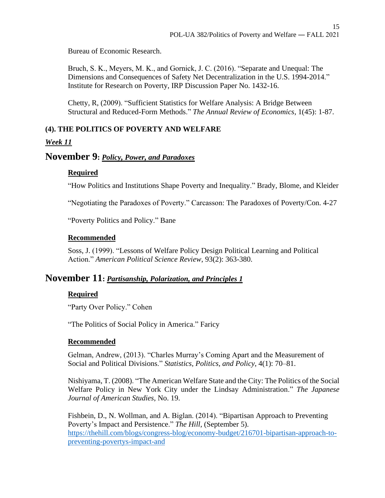Bureau of Economic Research.

Bruch, S. K., Meyers, M. K., and Gornick, J. C. (2016). "Separate and Unequal: The Dimensions and Consequences of Safety Net Decentralization in the U.S. 1994-2014." Institute for Research on Poverty, IRP Discussion Paper No. 1432-16.

Chetty, R, (2009). "Sufficient Statistics for Welfare Analysis: A Bridge Between Structural and Reduced-Form Methods." *The Annual Review of Economics*, 1(45): 1-87.

### **(4). THE POLITICS OF POVERTY AND WELFARE**

### *Week 11*

### **November 9:** *Policy, Power, and Paradoxes*

### **Required**

"How Politics and Institutions Shape Poverty and Inequality." Brady, Blome, and Kleider

"Negotiating the Paradoxes of Poverty." Carcasson: The Paradoxes of Poverty/Con. 4-27

"Poverty Politics and Policy." Bane

#### **Recommended**

Soss, J. (1999). "Lessons of Welfare Policy Design Political Learning and Political Action." *American Political Science Review*, 93(2): 363-380.

### **November 11:** *Partisanship, Polarization, and Principles 1*

### **Required**

"Party Over Policy." Cohen

"The Politics of Social Policy in America." Faricy

#### **Recommended**

Gelman, Andrew, (2013). "Charles Murray's Coming Apart and the Measurement of Social and Political Divisions." *Statistics, Politics, and Policy*, 4(1): 70–81.

Nishiyama, T. (2008). "The American Welfare State and the City: The Politics of the Social Welfare Policy in New York City under the Lindsay Administration." *The Japanese Journal of American Studies*, No. 19.

Fishbein, D., N. Wollman, and A. Biglan. (2014). "Bipartisan Approach to Preventing Poverty's Impact and Persistence." *The Hill*, (September 5). [https://thehill.com/blogs/congress-blog/economy-budget/216701-bipartisan-approach-to](https://thehill.com/blogs/congress-blog/economy-budget/216701-bipartisan-approach-to-preventing-povertys-impact-and)[preventing-povertys-impact-and](https://thehill.com/blogs/congress-blog/economy-budget/216701-bipartisan-approach-to-preventing-povertys-impact-and)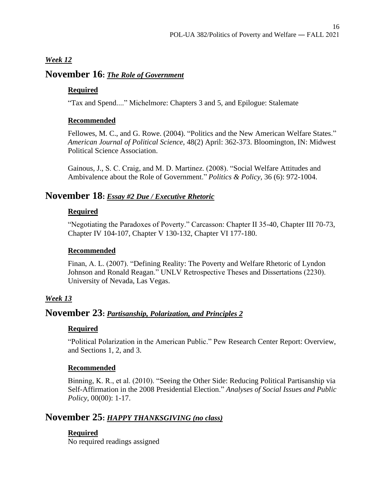### *Week 12*

## **November 16:** *The Role of Government*

#### **Required**

"Tax and Spend...." Michelmore: Chapters 3 and 5, and Epilogue: Stalemate

#### **Recommended**

Fellowes, M. C., and G. Rowe. (2004). "Politics and the New American Welfare States." *American Journal of Political Science*, 48(2) April: 362-373. Bloomington, IN: Midwest Political Science Association.

Gainous, J., S. C. Craig, and M. D. Martinez. (2008). "Social Welfare Attitudes and Ambivalence about the Role of Government." *Politics & Policy*, 36 (6): 972-1004.

## **November 18:** *Essay #2 Due / Executive Rhetoric*

#### **Required**

"Negotiating the Paradoxes of Poverty." Carcasson: Chapter II 35-40, Chapter III 70-73, Chapter IV 104-107, Chapter V 130-132, Chapter VI 177-180.

#### **Recommended**

Finan, A. L. (2007). "Defining Reality: The Poverty and Welfare Rhetoric of Lyndon Johnson and Ronald Reagan." UNLV Retrospective Theses and Dissertations (2230). University of Nevada, Las Vegas.

### *Week 13*

## **November 23:** *Partisanship, Polarization, and Principles 2*

#### **Required**

"Political Polarization in the American Public." Pew Research Center Report: Overview, and Sections 1, 2, and 3.

#### **Recommended**

Binning, K. R., et al. (2010). "Seeing the Other Side: Reducing Political Partisanship via Self-Affirmation in the 2008 Presidential Election." *Analyses of Social Issues and Public Policy*, 00(00): 1-17.

## **November 25:** *HAPPY THANKSGIVING (no class)*

### **Required**

No required readings assigned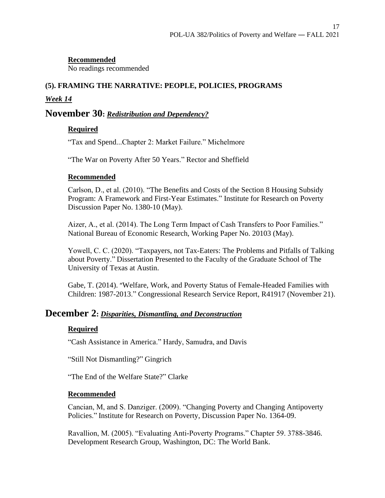#### **Recommended**

No readings recommended

# **(5). FRAMING THE NARRATIVE: PEOPLE, POLICIES, PROGRAMS**

#### *Week 14*

### **November 30:** *Redistribution and Dependency?*

### **Required**

"Tax and Spend...Chapter 2: Market Failure." Michelmore

"The War on Poverty After 50 Years." Rector and Sheffield

#### **Recommended**

Carlson, D., et al. (2010). "The Benefits and Costs of the Section 8 Housing Subsidy Program: A Framework and First-Year Estimates." Institute for Research on Poverty Discussion Paper No. 1380-10 (May).

Aizer, A., et al. (2014). The Long Term Impact of Cash Transfers to Poor Families." National Bureau of Economic Research, Working Paper No. 20103 (May).

Yowell, C. C. (2020). "Taxpayers, not Tax-Eaters: The Problems and Pitfalls of Talking about Poverty." Dissertation Presented to the Faculty of the Graduate School of The University of Texas at Austin.

Gabe, T. (2014). "Welfare, Work, and Poverty Status of Female-Headed Families with Children: 1987-2013." Congressional Research Service Report, R41917 (November 21).

### **December 2:** *Disparities, Dismantling, and Deconstruction*

### **Required**

"Cash Assistance in America." Hardy, Samudra, and Davis

"Still Not Dismantling?" Gingrich

"The End of the Welfare State?" Clarke

#### **Recommended**

Cancian, M, and S. Danziger. (2009). "Changing Poverty and Changing Antipoverty Policies." Institute for Research on Poverty, Discussion Paper No. 1364-09.

Ravallion, M. (2005). "Evaluating Anti-Poverty Programs." Chapter 59. 3788-3846. Development Research Group, Washington, DC: The World Bank.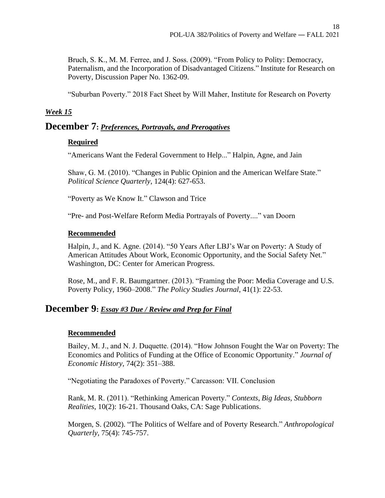Bruch, S. K., M. M. Ferree, and J. Soss. (2009). "From Policy to Polity: Democracy, Paternalism, and the Incorporation of Disadvantaged Citizens." Institute for Research on Poverty, Discussion Paper No. 1362-09.

"Suburban Poverty." 2018 Fact Sheet by Will Maher, Institute for Research on Poverty

### *Week 15*

### **December 7:** *Preferences, Portrayals, and Prerogatives*

### **Required**

"Americans Want the Federal Government to Help..." Halpin, Agne, and Jain

Shaw, G. M. (2010). "Changes in Public Opinion and the American Welfare State." *Political Science Quarterly*, 124(4): 627-653.

"Poverty as We Know It." Clawson and Trice

"Pre- and Post-Welfare Reform Media Portrayals of Poverty...." van Doorn

### **Recommended**

Halpin, J., and K. Agne. (2014). "50 Years After LBJ's War on Poverty: A Study of American Attitudes About Work, Economic Opportunity, and the Social Safety Net." Washington, DC: Center for American Progress.

Rose, M., and F. R. Baumgartner. (2013). "Framing the Poor: Media Coverage and U.S. Poverty Policy, 1960–2008." *The Policy Studies Journal*, 41(1): 22-53.

## **December 9:** *Essay #3 Due / Review and Prep for Final*

### **Recommended**

Bailey, M. J., and N. J. Duquette. (2014). "How Johnson Fought the War on Poverty: The Economics and Politics of Funding at the Office of Economic Opportunity." *Journal of Economic History*, 74(2): 351–388.

"Negotiating the Paradoxes of Poverty." Carcasson: VII. Conclusion

Rank, M. R. (2011). "Rethinking American Poverty." *Contexts*, *Big Ideas, Stubborn Realities*, 10(2): 16-21. Thousand Oaks, CA: Sage Publications.

Morgen, S. (2002). "The Politics of Welfare and of Poverty Research." *Anthropological Quarterly*, 75(4): 745-757.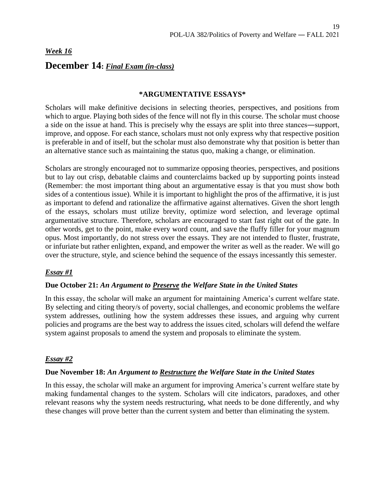#### *Week 16*

### **December 14:** *Final Exam (in-class)*

#### **\*ARGUMENTATIVE ESSAYS\***

Scholars will make definitive decisions in selecting theories, perspectives, and positions from which to argue. Playing both sides of the fence will not fly in this course. The scholar must choose a side on the issue at hand. This is precisely why the essays are split into three stances―support, improve, and oppose. For each stance, scholars must not only express why that respective position is preferable in and of itself, but the scholar must also demonstrate why that position is better than an alternative stance such as maintaining the status quo, making a change, or elimination.

Scholars are strongly encouraged not to summarize opposing theories, perspectives, and positions but to lay out crisp, debatable claims and counterclaims backed up by supporting points instead (Remember: the most important thing about an argumentative essay is that you must show both sides of a contentious issue). While it is important to highlight the pros of the affirmative, it is just as important to defend and rationalize the affirmative against alternatives. Given the short length of the essays, scholars must utilize brevity, optimize word selection, and leverage optimal argumentative structure. Therefore, scholars are encouraged to start fast right out of the gate. In other words, get to the point, make every word count, and save the fluffy filler for your magnum opus. Most importantly, do not stress over the essays. They are not intended to fluster, frustrate, or infuriate but rather enlighten, expand, and empower the writer as well as the reader. We will go over the structure, style, and science behind the sequence of the essays incessantly this semester.

### *Essay #1*

#### **Due October 21:** *An Argument to Preserve the Welfare State in the United States*

In this essay, the scholar will make an argument for maintaining America's current welfare state. By selecting and citing theory/s of poverty, social challenges, and economic problems the welfare system addresses, outlining how the system addresses these issues, and arguing why current policies and programs are the best way to address the issues cited, scholars will defend the welfare system against proposals to amend the system and proposals to eliminate the system.

### *Essay #2*

#### **Due November 18:** *An Argument to Restructure the Welfare State in the United States*

In this essay, the scholar will make an argument for improving America's current welfare state by making fundamental changes to the system. Scholars will cite indicators, paradoxes, and other relevant reasons why the system needs restructuring, what needs to be done differently, and why these changes will prove better than the current system and better than eliminating the system.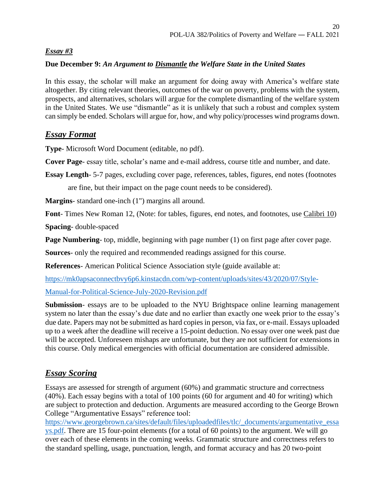### *Essay #3*

### **Due December 9:** *An Argument to Dismantle the Welfare State in the United States*

In this essay, the scholar will make an argument for doing away with America's welfare state altogether. By citing relevant theories, outcomes of the war on poverty, problems with the system, prospects, and alternatives, scholars will argue for the complete dismantling of the welfare system in the United States. We use "dismantle" as it is unlikely that such a robust and complex system can simply be ended. Scholars will argue for, how, and why policy/processes wind programs down.

### *Essay Format*

**Type**- Microsoft Word Document (editable, no pdf).

**Cover Page**- essay title, scholar's name and e-mail address, course title and number, and date.

**Essay Length**- 5-7 pages, excluding cover page, references, tables, figures, end notes (footnotes are fine, but their impact on the page count needs to be considered).

**Margins**- standard one-inch (1") margins all around.

**Font**- Times New Roman 12, (Note: for tables, figures, end notes, and footnotes, use Calibri 10)

**Spacing**- double-spaced

**Page Numbering**- top, middle, beginning with page number (1) on first page after cover page.

**Sources**- only the required and recommended readings assigned for this course.

**References**- American Political Science Association style (guide available at:

[https://mk0apsaconnectbvy6p6.kinstacdn.com/wp-content/uploads/sites/43/2020/07/Style-](https://mk0apsaconnectbvy6p6.kinstacdn.com/wp-content/uploads/sites/43/2020/07/Style-Manual-for-Political-Science-July-2020-Revision.pdf)

[Manual-for-Political-Science-July-2020-Revision.pdf](https://mk0apsaconnectbvy6p6.kinstacdn.com/wp-content/uploads/sites/43/2020/07/Style-Manual-for-Political-Science-July-2020-Revision.pdf)

**Submission**- essays are to be uploaded to the NYU Brightspace online learning management system no later than the essay's due date and no earlier than exactly one week prior to the essay's due date. Papers may not be submitted as hard copies in person, via fax, or e-mail. Essays uploaded up to a week after the deadline will receive a 15-point deduction. No essay over one week past due will be accepted. Unforeseen mishaps are unfortunate, but they are not sufficient for extensions in this course. Only medical emergencies with official documentation are considered admissible.

## *Essay Scoring*

Essays are assessed for strength of argument (60%) and grammatic structure and correctness (40%). Each essay begins with a total of 100 points (60 for argument and 40 for writing) which are subject to protection and deduction. Arguments are measured according to the George Brown College "Argumentative Essays" reference tool:

[https://www.georgebrown.ca/sites/default/files/uploadedfiles/tlc/\\_documents/argumentative\\_essa](https://www.georgebrown.ca/sites/default/files/uploadedfiles/tlc/_documents/argumentative_essays.pdf)

[ys.pdf.](https://www.georgebrown.ca/sites/default/files/uploadedfiles/tlc/_documents/argumentative_essays.pdf) There are 15 four-point elements (for a total of 60 points) to the argument. We will go over each of these elements in the coming weeks. Grammatic structure and correctness refers to the standard spelling, usage, punctuation, length, and format accuracy and has 20 two-point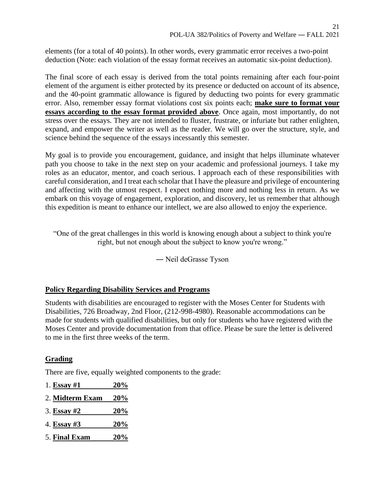elements (for a total of 40 points). In other words, every grammatic error receives a two-point deduction (Note: each violation of the essay format receives an automatic six-point deduction).

The final score of each essay is derived from the total points remaining after each four-point element of the argument is either protected by its presence or deducted on account of its absence, and the 40-point grammatic allowance is figured by deducting two points for every grammatic error. Also, remember essay format violations cost six points each; **make sure to format your essays according to the essay format provided above**. Once again, most importantly, do not stress over the essays. They are not intended to fluster, frustrate, or infuriate but rather enlighten, expand, and empower the writer as well as the reader. We will go over the structure, style, and science behind the sequence of the essays incessantly this semester.

My goal is to provide you encouragement, guidance, and insight that helps illuminate whatever path you choose to take in the next step on your academic and professional journeys. I take my roles as an educator, mentor, and coach serious. I approach each of these responsibilities with careful consideration, and I treat each scholar that I have the pleasure and privilege of encountering and affecting with the utmost respect. I expect nothing more and nothing less in return. As we embark on this voyage of engagement, exploration, and discovery, let us remember that although this expedition is meant to enhance our intellect, we are also allowed to enjoy the experience.

"One of the great challenges in this world is knowing enough about a subject to think you're right, but not enough about the subject to know you're wrong."

― Neil deGrasse Tyson

#### **Policy Regarding Disability Services and Programs**

Students with disabilities are encouraged to register with the Moses Center for Students with Disabilities, 726 Broadway, 2nd Floor, (212-998-4980). Reasonable accommodations can be made for students with qualified disabilities, but only for students who have registered with the Moses Center and provide documentation from that office. Please be sure the letter is delivered to me in the first three weeks of the term.

#### **Grading**

There are five, equally weighted components to the grade:

- 1. **Essay #1 20%**
- 2. **Midterm Exam 20%**
- 3. **Essay #2 20%**
- 4. **Essay #3 20%**
- 5. **Final Exam 20%**